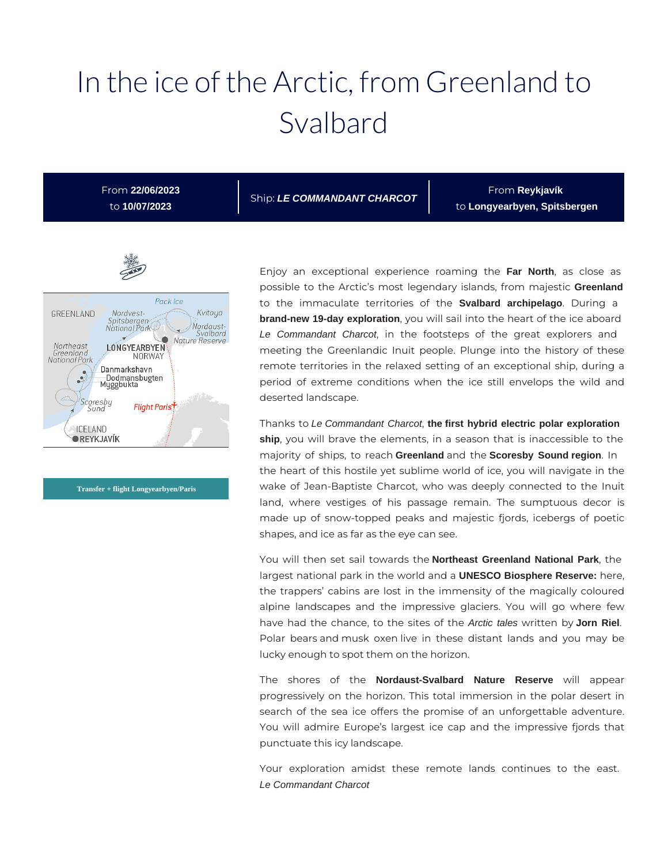# In the ice of the Arctic, from Greenland to Svalbard

From **22/06/2023** to **10/07/2023**

Ship: **LE COMMANDANT CHARCOT**

From **Reykjavík**  to **Longyearbyen, Spitsbergen**



**Transfer + flight Longyearbyen/Paris**

Enjoy an exceptional experience roaming the **Far North**, as close as possible to the Arctic's most legendary islands, from majestic **Greenland** to the immaculate territories of the **Svalbard archipelago**. During a **brand-new 19-day exploration**, you will sail into the heart of the ice aboard Le Commandant Charcot, in the footsteps of the great explorers and meeting the Greenlandic Inuit people. Plunge into the history of these remote territories in the relaxed setting of an exceptional ship, during a period of extreme conditions when the ice still envelops the wild and deserted landscape.

Thanks to Le Commandant Charcot, **the first hybrid electric polar exploration ship**, you will brave the elements, in a season that is inaccessible to the majority of ships, to reach **Greenland** and the **Scoresby Sound region**. In the heart of this hostile yet sublime world of ice, you will navigate in the wake of Jean-Baptiste Charcot, who was deeply connected to the Inuit land, where vestiges of his passage remain. The sumptuous decor is made up of snow-topped peaks and majestic fjords, icebergs of poetic shapes, and ice as far as the eye can see.

You will then set sail towards the **Northeast Greenland National Park**, the largest national park in the world and a **UNESCO Biosphere Reserve:** here, the trappers' cabins are lost in the immensity of the magically coloured alpine landscapes and the impressive glaciers. You will go where few have had the chance, to the sites of the Arctic tales written by **Jorn Riel**. Polar bears and musk oxen live in these distant lands and you may be lucky enough to spot them on the horizon.

The shores of the **Nordaust-Svalbard Nature Reserve** will appear progressively on the horizon. This total immersion in the polar desert in search of the sea ice offers the promise of an unforgettable adventure. You will admire Europe's largest ice cap and the impressive fjords that punctuate this icy landscape.

Your exploration amidst these remote lands continues to the east. Le Commandant Charcot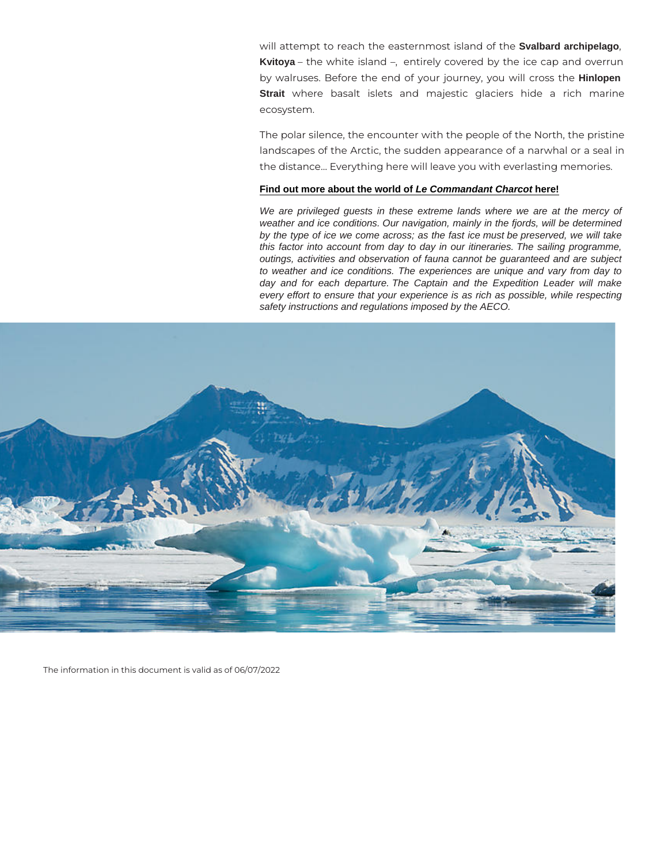will attempt to reach the easternmihos Svalband archipelago, Kvitoya the white island, entirely covered by the ice by walruses. Before the end of your journe hinlopenu will d Strait where basalt islets and majestic glaciers hid ecosystem.

The polar silence, the encounter with the people of the N landscapes of the Arctic, the sudden appearance of a na the distance& Everything here will leave you with everlast

#### [Find out more about the world of Le Commandant Charcot here!](https://en.calameo.com/read/000132423afed77b51b42)

We are privileged guests in these extreme lands where we are at the mercy of weather and ice conditions. Our navigation, mainly in the fjords, will be determined by the type of ice we come across; as the fast ice must be preserved, we will take this factor into account from day to day in our itineraries. The sailing programme, outings, activities and observation of fauna cannot be guaranteed and are subject to weather and ice conditions. The experiences are unique and vary from day to day and for each departure. The Captain and the Expedition Leader will make every effort to ensure that your experience is as rich as possible, while respecting safety instructions and regulations imposed by the AECO.

The information in this document is valid as of 06/07/2022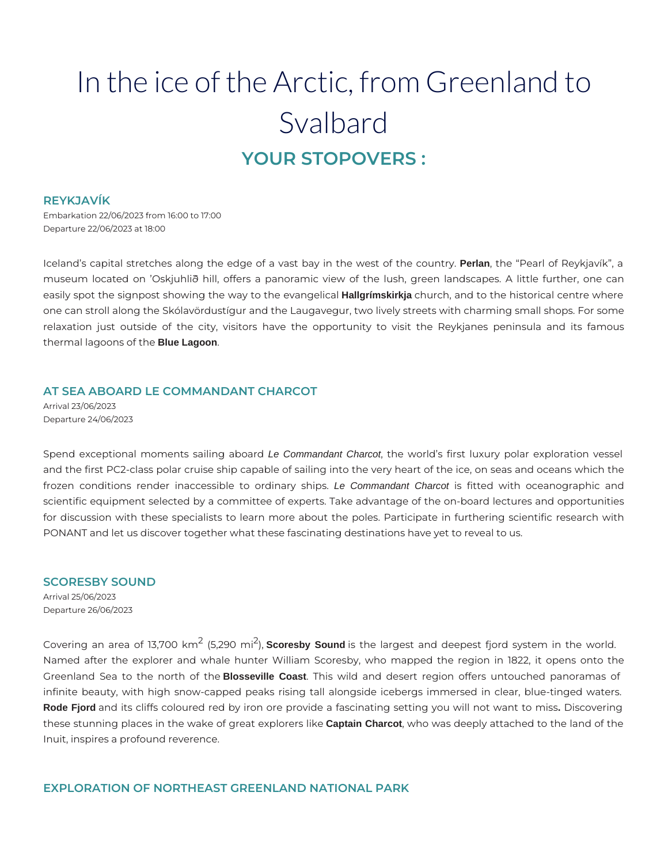## In the ice of the Arctic, from Greenland to Svalbard **YOUR STOPOVERS :**

#### **REYKJAVÍK**

Embarkation 22/06/2023 from 16:00 to 17:00 Departure 22/06/2023 at 18:00

Iceland's capital stretches along the edge of a vast bay in the west of the country. **Perlan**, the "Pearl of Reykjavík", a museum located on 'Oskjuhlið hill, offers a panoramic view of the lush, green landscapes. A little further, one can easily spot the signpost showing the way to the evangelical **Hallgrímskirkja** church, and to the historical centre where one can stroll along the Skólavördustígur and the Laugavegur, two lively streets with charming small shops. For some relaxation just outside of the city, visitors have the opportunity to visit the Reykjanes peninsula and its famous thermal lagoons of the **Blue Lagoon**.

#### **AT SEA ABOARD LE COMMANDANT CHARCOT**

Arrival 23/06/2023 Departure 24/06/2023

Spend exceptional moments sailing aboard Le Commandant Charcot, the world's first luxury polar exploration vessel and the first PC2-class polar cruise ship capable of sailing into the very heart of the ice, on seas and oceans which the frozen conditions render inaccessible to ordinary ships. Le Commandant Charcot is fitted with oceanographic and scientific equipment selected by a committee of experts. Take advantage of the on-board lectures and opportunities for discussion with these specialists to learn more about the poles. Participate in furthering scientific research with PONANT and let us discover together what these fascinating destinations have yet to reveal to us.

#### **SCORESBY SOUND**

Arrival 25/06/2023 Departure 26/06/2023

Covering an area of 13,700 km<sup>2</sup> (5,290 mi<sup>2</sup>), **Scoresby Sound** is the largest and deepest fjord system in the world. Named after the explorer and whale hunter William Scoresby, who mapped the region in 1822, it opens onto the Greenland Sea to the north of the **Blosseville Coast**. This wild and desert region offers untouched panoramas of infinite beauty, with high snow-capped peaks rising tall alongside icebergs immersed in clear, blue-tinged waters. **Rode Fjord** and its cliffs coloured red by iron ore provide a fascinating setting you will not want to miss**.** Discovering these stunning places in the wake of great explorers like **Captain Charcot**, who was deeply attached to the land of the Inuit, inspires a profound reverence.

#### **EXPLORATION OF NORTHEAST GREENLAND NATIONAL PARK**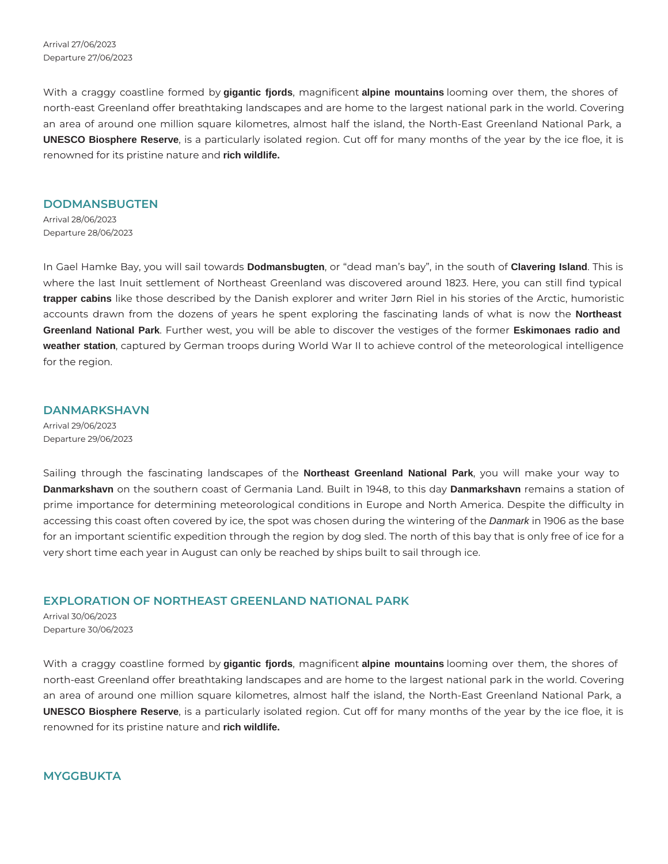Arrival 27/06/2023 Departure 27/06/2023

With a craggy coastline formed by **gigantic fjords**, magnificent **alpine mountains** looming over them, the shores of north-east Greenland offer breathtaking landscapes and are home to the largest national park in the world. Covering an area of around one million square kilometres, almost half the island, the North-East Greenland National Park, a **UNESCO Biosphere Reserve**, is a particularly isolated region. Cut off for many months of the year by the ice floe, it is renowned for its pristine nature and **rich wildlife.**

#### **DODMANSBUGTEN**

Arrival 28/06/2023 Departure 28/06/2023

In Gael Hamke Bay, you will sail towards **Dodmansbugten**, or "dead man's bay", in the south of **Clavering Island**. This is where the last Inuit settlement of Northeast Greenland was discovered around 1823. Here, you can still find typical **trapper cabins** like those described by the Danish explorer and writer Jørn Riel in his stories of the Arctic, humoristic accounts drawn from the dozens of years he spent exploring the fascinating lands of what is now the **Northeast Greenland National Park**. Further west, you will be able to discover the vestiges of the former **Eskimonaes radio and weather station**, captured by German troops during World War II to achieve control of the meteorological intelligence for the region.

#### **DANMARKSHAVN**

Arrival 29/06/2023 Departure 29/06/2023

Sailing through the fascinating landscapes of the **Northeast Greenland National Park**, you will make your way to **Danmarkshavn** on the southern coast of Germania Land. Built in 1948, to this day **Danmarkshavn** remains a station of prime importance for determining meteorological conditions in Europe and North America. Despite the difficulty in accessing this coast often covered by ice, the spot was chosen during the wintering of the Danmark in 1906 as the base for an important scientific expedition through the region by dog sled. The north of this bay that is only free of ice for a very short time each year in August can only be reached by ships built to sail through ice.

#### **EXPLORATION OF NORTHEAST GREENLAND NATIONAL PARK**

Arrival 30/06/2023 Departure 30/06/2023

With a craggy coastline formed by **gigantic fjords**, magnificent **alpine mountains** looming over them, the shores of north-east Greenland offer breathtaking landscapes and are home to the largest national park in the world. Covering an area of around one million square kilometres, almost half the island, the North-East Greenland National Park, a **UNESCO Biosphere Reserve**, is a particularly isolated region. Cut off for many months of the year by the ice floe, it is renowned for its pristine nature and **rich wildlife.**

#### **MYGGBUKTA**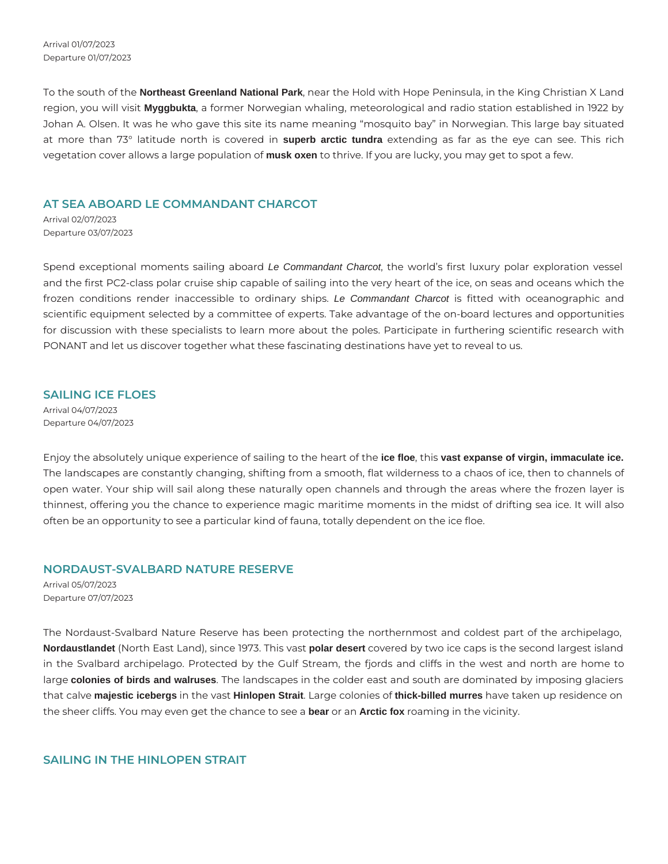Arrival 01/07/2023 Departure 01/07/2023

To the south of the **Northeast Greenland National Park**, near the Hold with Hope Peninsula, in the King Christian X Land region, you will visit **Myggbukta**, a former Norwegian whaling, meteorological and radio station established in 1922 by Johan A. Olsen. It was he who gave this site its name meaning "mosquito bay" in Norwegian. This large bay situated at more than 73° latitude north is covered in **superb arctic tundra** extending as far as the eye can see. This rich vegetation cover allows a large population of **musk oxen** to thrive. If you are lucky, you may get to spot a few.

#### **AT SEA ABOARD LE COMMANDANT CHARCOT**

Arrival 02/07/2023 Departure 03/07/2023

Spend exceptional moments sailing aboard Le Commandant Charcot, the world's first luxury polar exploration vessel and the first PC2-class polar cruise ship capable of sailing into the very heart of the ice, on seas and oceans which the frozen conditions render inaccessible to ordinary ships. Le Commandant Charcot is fitted with oceanographic and scientific equipment selected by a committee of experts. Take advantage of the on-board lectures and opportunities for discussion with these specialists to learn more about the poles. Participate in furthering scientific research with PONANT and let us discover together what these fascinating destinations have yet to reveal to us.

### **SAILING ICE FLOES**

Arrival 04/07/2023 Departure 04/07/2023

Enjoy the absolutely unique experience of sailing to the heart of the **ice floe**, this **vast expanse of virgin, immaculate ice.** The landscapes are constantly changing, shifting from a smooth, flat wilderness to a chaos of ice, then to channels of open water. Your ship will sail along these naturally open channels and through the areas where the frozen layer is thinnest, offering you the chance to experience magic maritime moments in the midst of drifting sea ice. It will also often be an opportunity to see a particular kind of fauna, totally dependent on the ice floe.

#### **NORDAUST-SVALBARD NATURE RESERVE**

Arrival 05/07/2023 Departure 07/07/2023

The Nordaust-Svalbard Nature Reserve has been protecting the northernmost and coldest part of the archipelago, **Nordaustlandet** (North East Land), since 1973. This vast **polar desert** covered by two ice caps is the second largest island in the Svalbard archipelago. Protected by the Gulf Stream, the fjords and cliffs in the west and north are home to large **colonies of birds and walruses**. The landscapes in the colder east and south are dominated by imposing glaciers that calve **majestic icebergs** in the vast **Hinlopen Strait**. Large colonies of **thick-billed murres** have taken up residence on the sheer cliffs. You may even get the chance to see a **bear** or an **Arctic fox** roaming in the vicinity.

#### **SAILING IN THE HINLOPEN STRAIT**